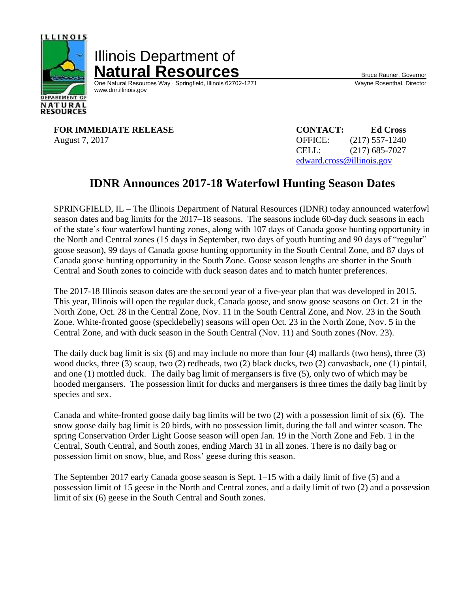

Illinois Department of **Natural Resources**<br>
One Natural Resources Way · Springfield, Illinois 62702-1271 Wayne Rosenthal, Director

One Natural Resources Way ⋅ Springfield, Illinois 62702-1271 [www.dnr.illinois.gov](http://www.dnr.illinois.gov/)

**FOR IMMEDIATE RELEASE** August 7, 2017

| <b>CONTACT:</b>           | <b>Ed Cross</b>  |
|---------------------------|------------------|
| <b>OFFICE:</b>            | $(217)$ 557-1240 |
| CELL:                     | $(217)$ 685-7027 |
| edward.cross@illinois.gov |                  |

# **IDNR Announces 2017-18 Waterfowl Hunting Season Dates**

SPRINGFIELD, IL – The Illinois Department of Natural Resources (IDNR) today announced waterfowl season dates and bag limits for the 2017–18 seasons. The seasons include 60-day duck seasons in each of the state's four waterfowl hunting zones, along with 107 days of Canada goose hunting opportunity in the North and Central zones (15 days in September, two days of youth hunting and 90 days of "regular" goose season), 99 days of Canada goose hunting opportunity in the South Central Zone, and 87 days of Canada goose hunting opportunity in the South Zone. Goose season lengths are shorter in the South Central and South zones to coincide with duck season dates and to match hunter preferences.

The 2017-18 Illinois season dates are the second year of a five-year plan that was developed in 2015. This year, Illinois will open the regular duck, Canada goose, and snow goose seasons on Oct. 21 in the North Zone, Oct. 28 in the Central Zone, Nov. 11 in the South Central Zone, and Nov. 23 in the South Zone. White-fronted goose (specklebelly) seasons will open Oct. 23 in the North Zone, Nov. 5 in the Central Zone, and with duck season in the South Central (Nov. 11) and South zones (Nov. 23).

The daily duck bag limit is six (6) and may include no more than four (4) mallards (two hens), three (3) wood ducks, three (3) scaup, two (2) redheads, two (2) black ducks, two (2) canvasback, one (1) pintail, and one (1) mottled duck. The daily bag limit of mergansers is five (5), only two of which may be hooded mergansers. The possession limit for ducks and mergansers is three times the daily bag limit by species and sex.

Canada and white-fronted goose daily bag limits will be two (2) with a possession limit of six (6). The snow goose daily bag limit is 20 birds, with no possession limit, during the fall and winter season. The spring Conservation Order Light Goose season will open Jan. 19 in the North Zone and Feb. 1 in the Central, South Central, and South zones, ending March 31 in all zones. There is no daily bag or possession limit on snow, blue, and Ross' geese during this season.

The September 2017 early Canada goose season is Sept. 1–15 with a daily limit of five (5) and a possession limit of 15 geese in the North and Central zones, and a daily limit of two (2) and a possession limit of six (6) geese in the South Central and South zones.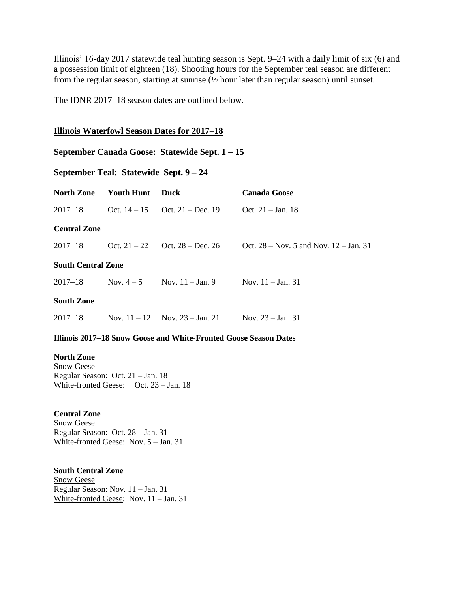Illinois' 16-day 2017 statewide teal hunting season is Sept. 9–24 with a daily limit of six (6) and a possession limit of eighteen (18). Shooting hours for the September teal season are different from the regular season, starting at sunrise (½ hour later than regular season) until sunset.

The IDNR 2017–18 season dates are outlined below.

## **Illinois Waterfowl Season Dates for 2017**–**18**

## **September Canada Goose: Statewide Sept. 1 – 15**

# **September Teal: Statewide Sept. 9 – 24**

| <b>North Zone</b>         | Youth Hunt | Duck                                      | <b>Canada Goose</b>                        |
|---------------------------|------------|-------------------------------------------|--------------------------------------------|
| $2017 - 18$               |            | Oct. $14-15$ Oct. $21 - Dec.$ 19          | Oct. $21 - Jan. 18$                        |
| <b>Central Zone</b>       |            |                                           |                                            |
| $2017 - 18$               |            | Oct. $21 - 22$ Oct. $28 - Dec. 26$        | Oct. $28 - Nov. 5$ and Nov. $12 - Jan. 31$ |
| <b>South Central Zone</b> |            |                                           |                                            |
| $2017 - 18$               |            | Nov. $4-5$ Nov. $11 - \text{Jan. } 9$     | Nov. $11 - \text{Jan. } 31$                |
| <b>South Zone</b>         |            |                                           |                                            |
| $2017 - 18$               |            | Nov. $11 - 12$ Nov. $23 - \text{Jan. 21}$ | Nov. $23 - Jan. 31$                        |

## **Illinois 2017–18 Snow Goose and White-Fronted Goose Season Dates**

**North Zone** Snow Geese Regular Season: Oct. 21 – Jan. 18 White-fronted Geese: Oct. 23 – Jan. 18

**Central Zone** Snow Geese Regular Season: Oct. 28 – Jan. 31 White-fronted Geese: Nov. 5 – Jan. 31

**South Central Zone** Snow Geese Regular Season: Nov. 11 – Jan. 31 White-fronted Geese: Nov. 11 – Jan. 31